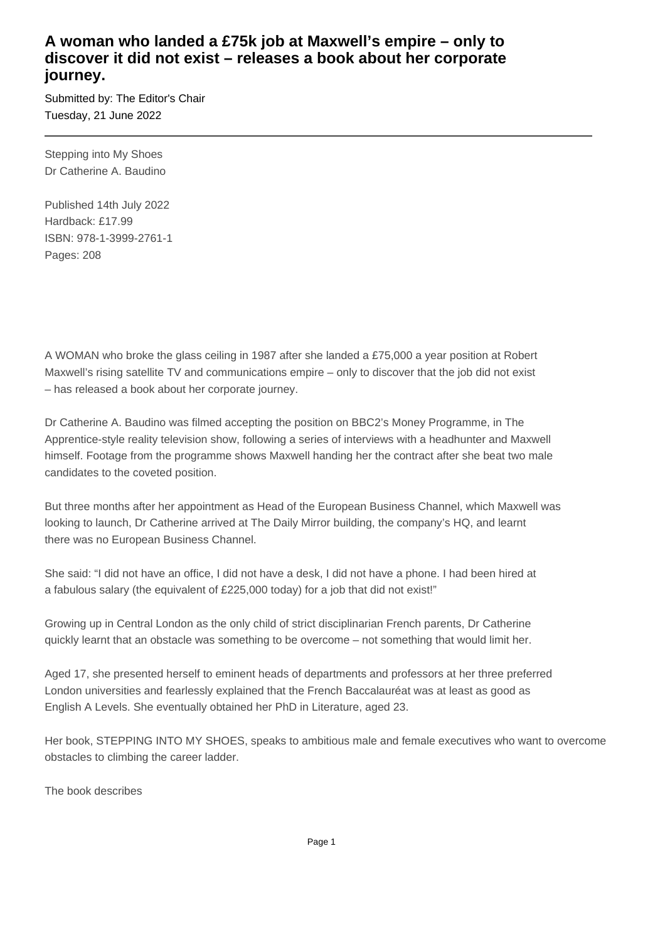## **A woman who landed a £75k job at Maxwell's empire – only to discover it did not exist – releases a book about her corporate journey.**

Submitted by: The Editor's Chair Tuesday, 21 June 2022

Stepping into My Shoes Dr Catherine A. Baudino

Published 14th July 2022 Hardback: £17.99 ISBN: 978-1-3999-2761-1 Pages: 208

A WOMAN who broke the glass ceiling in 1987 after she landed a £75,000 a year position at Robert Maxwell's rising satellite TV and communications empire – only to discover that the job did not exist – has released a book about her corporate journey.

Dr Catherine A. Baudino was filmed accepting the position on BBC2's Money Programme, in The Apprentice-style reality television show, following a series of interviews with a headhunter and Maxwell himself. Footage from the programme shows Maxwell handing her the contract after she beat two male candidates to the coveted position.

But three months after her appointment as Head of the European Business Channel, which Maxwell was looking to launch, Dr Catherine arrived at The Daily Mirror building, the company's HQ, and learnt there was no European Business Channel.

She said: "I did not have an office, I did not have a desk, I did not have a phone. I had been hired at a fabulous salary (the equivalent of £225,000 today) for a job that did not exist!"

Growing up in Central London as the only child of strict disciplinarian French parents, Dr Catherine quickly learnt that an obstacle was something to be overcome – not something that would limit her.

Aged 17, she presented herself to eminent heads of departments and professors at her three preferred London universities and fearlessly explained that the French Baccalauréat was at least as good as English A Levels. She eventually obtained her PhD in Literature, aged 23.

Her book, STEPPING INTO MY SHOES, speaks to ambitious male and female executives who want to overcome obstacles to climbing the career ladder.

The book describes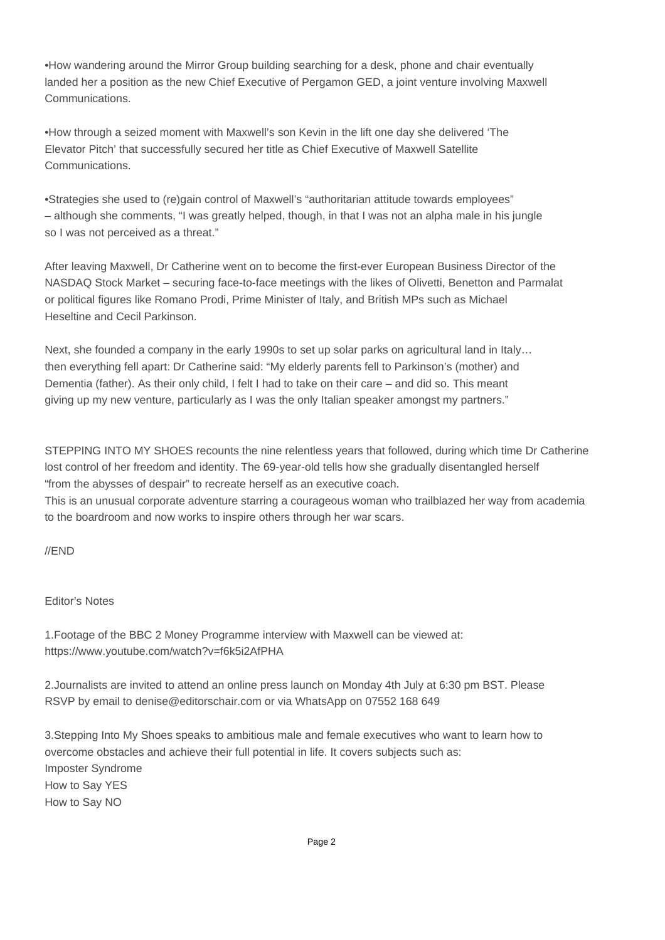• How wandering around the Mirror Group building searching for a desk, phone and chair eventually landed her a position as the new Chief Executive of Pergamon GED, a joint venture involving Maxwell Communications.

• How through a seized moment with Maxwell's son Kevin in the lift one day she delivered 'The Elevator Pitch' that successfully secured her title as Chief Executive of Maxwell Satellite Communications.

• Strategies she used to (re)gain control of Maxwell's "authoritarian attitude towards employees" – although she comments, "I was greatly helped, though, in that I was not an alpha male in his jungle so I was not perceived as a threat."

After leaving Maxwell, Dr Catherine went on to become the first-ever European Business Director of the NASDAQ Stock Market – securing face-to-face meetings with the likes of Olivetti, Benetton and Parmalat or political figures like Romano Prodi, Prime Minister of Italy, and British MPs such as Michael Heseltine and Cecil Parkinson.

Next, she founded a company in the early 1990s to set up solar parks on agricultural land in Italy… then everything fell apart: Dr Catherine said: "My elderly parents fell to Parkinson's (mother) and Dementia (father). As their only child, I felt I had to take on their care – and did so. This meant giving up my new venture, particularly as I was the only Italian speaker amongst my partners."

STEPPING INTO MY SHOES recounts the nine relentless years that followed, during which time Dr Catherine lost control of her freedom and identity. The 69-year-old tells how she gradually disentangled herself "from the abysses of despair" to recreate herself as an executive coach.

This is an unusual corporate adventure starring a courageous woman who trailblazed her way from academia to the boardroom and now works to inspire others through her war scars.

//END

Editor's Notes

1. Footage of the BBC 2 Money Programme interview with Maxwell can be viewed at: https://www.youtube.com/watch?v=f6k5i2AfPHA

2. Journalists are invited to attend an online press launch on Monday 4th July at 6:30 pm BST. Please RSVP by email to denise@editorschair.com or via WhatsApp on 07552 168 649

3. Stepping Into My Shoes speaks to ambitious male and female executives who want to learn how to overcome obstacles and achieve their full potential in life. It covers subjects such as: Imposter Syndrome How to Say YES How to Say NO